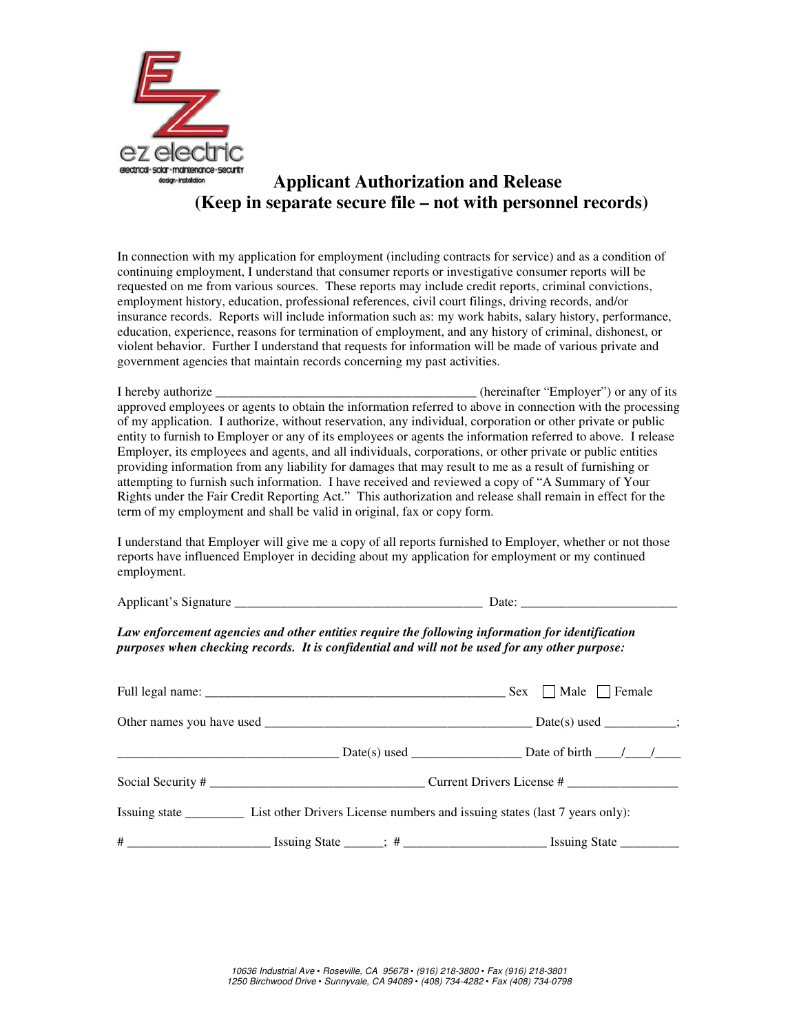

## **Applicant Authorization and Release (Keep in separate secure file – not with personnel records)**

In connection with my application for employment (including contracts for service) and as a condition of continuing employment, I understand that consumer reports or investigative consumer reports will be requested on me from various sources. These reports may include credit reports, criminal convictions, employment history, education, professional references, civil court filings, driving records, and/or insurance records. Reports will include information such as: my work habits, salary history, performance, education, experience, reasons for termination of employment, and any history of criminal, dishonest, or violent behavior. Further I understand that requests for information will be made of various private and government agencies that maintain records concerning my past activities.

I hereby authorize \_\_\_\_\_\_\_\_\_\_\_\_\_\_\_\_\_\_\_\_\_\_\_\_\_\_\_\_\_\_\_\_\_\_\_\_\_\_\_\_ (hereinafter "Employer") or any of its approved employees or agents to obtain the information referred to above in connection with the processing of my application. I authorize, without reservation, any individual, corporation or other private or public entity to furnish to Employer or any of its employees or agents the information referred to above. I release Employer, its employees and agents, and all individuals, corporations, or other private or public entities providing information from any liability for damages that may result to me as a result of furnishing or attempting to furnish such information. I have received and reviewed a copy of "A Summary of Your Rights under the Fair Credit Reporting Act." This authorization and release shall remain in effect for the term of my employment and shall be valid in original, fax or copy form.

I understand that Employer will give me a copy of all reports furnished to Employer, whether or not those reports have influenced Employer in deciding about my application for employment or my continued employment.

Applicant's Signature Date:

*Law enforcement agencies and other entities require the following information for identification purposes when checking records. It is confidential and will not be used for any other purpose:* 

|  | $\text{Sex }$ Male Female |  |  |
|--|---------------------------|--|--|
|  |                           |  |  |
|  |                           |  |  |
|  | Social Security #         |  |  |
|  |                           |  |  |
|  |                           |  |  |